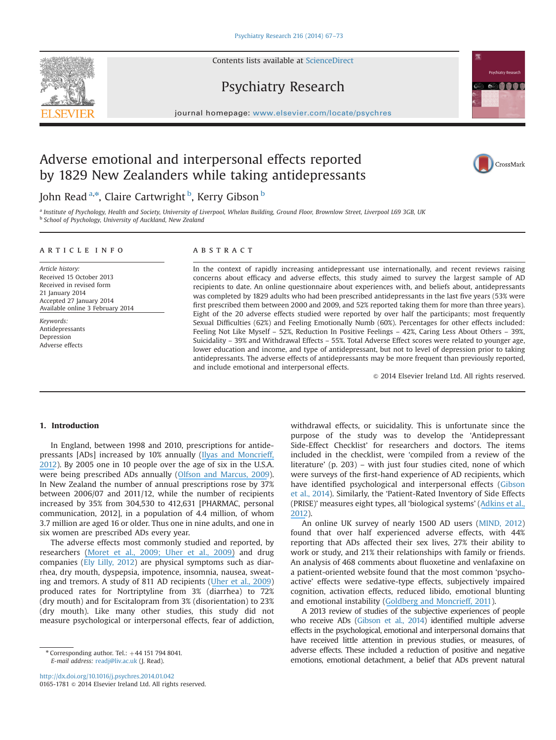Contents lists available at [ScienceDirect](www.sciencedirect.com/science/journal/01651781)





CrossMark

# Psychiatry Research

journal homepage: <www.elsevier.com/locate/psychres>

# Adverse emotional and interpersonal effects reported by 1829 New Zealanders while taking antidepressants

# John Read <sup>a,\*</sup>, Claire Cartwright <sup>b</sup>, Kerry Gibson <sup>b</sup>

a Institute of Psychology, Health and Society, University of Liverpool, Whelan Building, Ground Floor, Brownlow Street, Liverpool L69 3GB, UK **b School of Psychology, University of Auckland, New Zealand** 

# article info

Article history: Received 15 October 2013 Received in revised form 21 January 2014 Accepted 27 January 2014 Available online 3 February 2014

Keywords: Antidepressants Depression Adverse effects

# **ABSTRACT**

In the context of rapidly increasing antidepressant use internationally, and recent reviews raising concerns about efficacy and adverse effects, this study aimed to survey the largest sample of AD recipients to date. An online questionnaire about experiences with, and beliefs about, antidepressants was completed by 1829 adults who had been prescribed antidepressants in the last five years (53% were first prescribed them between 2000 and 2009, and 52% reported taking them for more than three years). Eight of the 20 adverse effects studied were reported by over half the participants; most frequently Sexual Difficulties (62%) and Feeling Emotionally Numb (60%). Percentages for other effects included: Feeling Not Like Myself – 52%, Reduction In Positive Feelings – 42%, Caring Less About Others – 39%, Suicidality – 39% and Withdrawal Effects – 55%. Total Adverse Effect scores were related to younger age, lower education and income, and type of antidepressant, but not to level of depression prior to taking antidepressants. The adverse effects of antidepressants may be more frequent than previously reported, and include emotional and interpersonal effects.

 $©$  2014 Elsevier Ireland Ltd. All rights reserved.

# 1. Introduction

In England, between 1998 and 2010, prescriptions for antidepressants [ADs] increased by 10% annually ([Ilyas and Moncrieff,](https://www.researchgate.net/publication/221970867_Trends_in_prescriptions_and_costs_of_drugs_for_mental_disorders_in_England_1998-2010?el=1_x_8&enrichId=rgreq-f0186ac4cfb48266549aa2490c1b877f-XXX&enrichSource=Y292ZXJQYWdlOzI2MDAyOTk4MztBUzoxMjA5NTg3NDg3MjkzNDRAMTQwNTg1MDIyMjAwMQ==) [2012](https://www.researchgate.net/publication/221970867_Trends_in_prescriptions_and_costs_of_drugs_for_mental_disorders_in_England_1998-2010?el=1_x_8&enrichId=rgreq-f0186ac4cfb48266549aa2490c1b877f-XXX&enrichSource=Y292ZXJQYWdlOzI2MDAyOTk4MztBUzoxMjA5NTg3NDg3MjkzNDRAMTQwNTg1MDIyMjAwMQ==)). By 2005 one in 10 people over the age of six in the U.S.A. were being prescribed ADs annually ([Olfson and Marcus, 2009](https://www.researchgate.net/publication/26714399_National_Patterns_in_Antidepressant_Medication_Treatment?el=1_x_8&enrichId=rgreq-f0186ac4cfb48266549aa2490c1b877f-XXX&enrichSource=Y292ZXJQYWdlOzI2MDAyOTk4MztBUzoxMjA5NTg3NDg3MjkzNDRAMTQwNTg1MDIyMjAwMQ==)). In New Zealand the number of annual prescriptions rose by 37% between 2006/07 and 2011/12, while the number of recipients increased by 35% from 304,530 to 412,631 [PHARMAC, personal communication, 2012], in a population of 4.4 million, of whom 3.7 million are aged 16 or older. Thus one in nine adults, and one in six women are prescribed ADs every year.

The adverse effects most commonly studied and reported, by researchers [\(Moret et al., 2009; Uher et al., 2009\)](https://www.researchgate.net/publication/51410168_Review_Problems_associated_with_long-term_treatment_with_selective_serotonin_reuptake_inhibitors?el=1_x_8&enrichId=rgreq-f0186ac4cfb48266549aa2490c1b877f-XXX&enrichSource=Y292ZXJQYWdlOzI2MDAyOTk4MztBUzoxMjA5NTg3NDg3MjkzNDRAMTQwNTg1MDIyMjAwMQ==) and drug companies (Ely Lilly, 2012) are physical symptoms such as diarrhea, dry mouth, dyspepsia, impotence, insomnia, nausea, sweating and tremors. A study of 811 AD recipients ([Uher et al., 2009](https://www.researchgate.net/publication/26780748_Adverse_reactions_to_antidepressants?el=1_x_8&enrichId=rgreq-f0186ac4cfb48266549aa2490c1b877f-XXX&enrichSource=Y292ZXJQYWdlOzI2MDAyOTk4MztBUzoxMjA5NTg3NDg3MjkzNDRAMTQwNTg1MDIyMjAwMQ==)) produced rates for Nortriptyline from 3% (diarrhea) to 72% (dry mouth) and for Escitalopram from 3% (disorientation) to 23% (dry mouth). Like many other studies, this study did not measure psychological or interpersonal effects, fear of addiction,

<http://dx.doi.org/10.1016/j.psychres.2014.01.042> 0165-1781 & 2014 Elsevier Ireland Ltd. All rights reserved. withdrawal effects, or suicidality. This is unfortunate since the purpose of the study was to develop the 'Antidepressant Side-Effect Checklist' for researchers and doctors. The items included in the checklist, were 'compiled from a review of the literature' (p. 203) – with just four studies cited, none of which were surveys of the first-hand experience of AD recipients, which have identified psychological and interpersonal effects (Gibson et al., 2014). Similarly, the 'Patient-Rated Inventory of Side Effects (PRISE)' measures eight types, all 'biological systems' ([Adkins et al.,](https://www.researchgate.net/publication/228115059_Genome-wide_pharmacogenomic_study_of_citalopram-induced_side_effects_in_STARD?el=1_x_8&enrichId=rgreq-f0186ac4cfb48266549aa2490c1b877f-XXX&enrichSource=Y292ZXJQYWdlOzI2MDAyOTk4MztBUzoxMjA5NTg3NDg3MjkzNDRAMTQwNTg1MDIyMjAwMQ==) [2012](https://www.researchgate.net/publication/228115059_Genome-wide_pharmacogenomic_study_of_citalopram-induced_side_effects_in_STARD?el=1_x_8&enrichId=rgreq-f0186ac4cfb48266549aa2490c1b877f-XXX&enrichSource=Y292ZXJQYWdlOzI2MDAyOTk4MztBUzoxMjA5NTg3NDg3MjkzNDRAMTQwNTg1MDIyMjAwMQ==)).

An online UK survey of nearly 1500 AD users (MIND, 2012) found that over half experienced adverse effects, with 44% reporting that ADs affected their sex lives, 27% their ability to work or study, and 21% their relationships with family or friends. An analysis of 468 comments about fluoxetine and venlafaxine on a patient-oriented website found that the most common 'psychoactive' effects were sedative-type effects, subjectively impaired cognition, activation effects, reduced libido, emotional blunting and emotional instability ([Goldberg and Moncrieff, 2011](https://www.researchgate.net/publication/233548232_The_Psychoactive_Effects_of_Antidepressants_and_their_Association_with_Suicidality?el=1_x_8&enrichId=rgreq-f0186ac4cfb48266549aa2490c1b877f-XXX&enrichSource=Y292ZXJQYWdlOzI2MDAyOTk4MztBUzoxMjA5NTg3NDg3MjkzNDRAMTQwNTg1MDIyMjAwMQ==)).

A 2013 review of studies of the subjective experiences of people who receive ADs (Gibson et al., 2014) identified multiple adverse effects in the psychological, emotional and interpersonal domains that have received little attention in previous studies, or measures, of adverse effects. These included a reduction of positive and negative emotions, emotional detachment, a belief that ADs prevent natural

 $*$  Corresponding author. Tel.:  $+44$  151 794 8041. E-mail address: [readj@liv.ac.uk](mailto:readj@liv.ac.uk) (J. Read).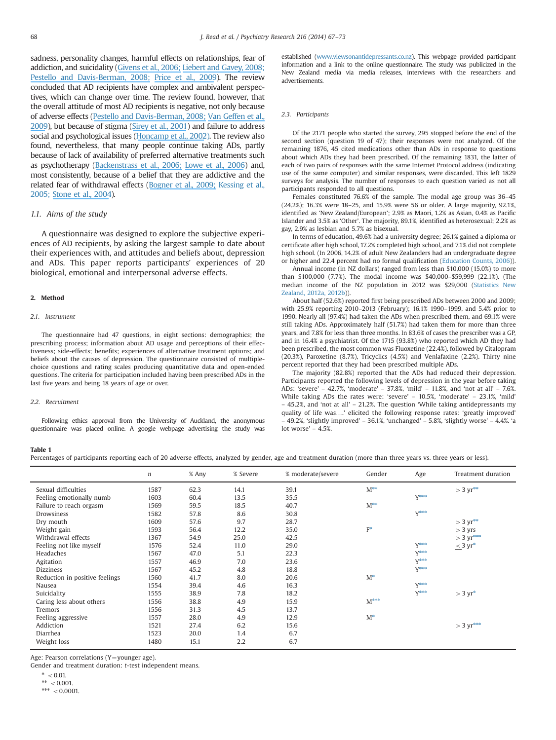sadness, personality changes, harmful effects on relationships, fear of addiction, and suicidality ([Givens et al., 2006;](https://www.researchgate.net/publication/272572116_Older_patients) [Liebert and Gavey, 2008](https://www.researchgate.net/publication/288306202_I_Didn); [Pestello and Davis-Berman, 2008;](https://www.researchgate.net/publication/232045170_Taking_anti-depressant_medication_A_qualitative_examination_of_internet_postings?el=1_x_8&enrichId=rgreq-f0186ac4cfb48266549aa2490c1b877f-XXX&enrichSource=Y292ZXJQYWdlOzI2MDAyOTk4MztBUzoxMjA5NTg3NDg3MjkzNDRAMTQwNTg1MDIyMjAwMQ==) [Price et al., 2009](https://www.researchgate.net/publication/26780749_Price_J_Cole_V_Goodwin_GM_Emotional_side-effects_of_selective_serotonin_reuptake_inhibitors_qualitative_study_Br_J_Psychiatry_195_211-217?el=1_x_8&enrichId=rgreq-f0186ac4cfb48266549aa2490c1b877f-XXX&enrichSource=Y292ZXJQYWdlOzI2MDAyOTk4MztBUzoxMjA5NTg3NDg3MjkzNDRAMTQwNTg1MDIyMjAwMQ==)). The review concluded that AD recipients have complex and ambivalent perspectives, which can change over time. The review found, however, that the overall attitude of most AD recipients is negative, not only because of adverse effects ([Pestello and Davis-Berman, 2008;](https://www.researchgate.net/publication/232045170_Taking_anti-depressant_medication_A_qualitative_examination_of_internet_postings?el=1_x_8&enrichId=rgreq-f0186ac4cfb48266549aa2490c1b877f-XXX&enrichSource=Y292ZXJQYWdlOzI2MDAyOTk4MztBUzoxMjA5NTg3NDg3MjkzNDRAMTQwNTg1MDIyMjAwMQ==) [Van Geffen et al.,](https://www.researchgate.net/publication/23976575_Initiation_of_antidepressant_therapy_Do_patients_follow_the_GP) [2009](https://www.researchgate.net/publication/23976575_Initiation_of_antidepressant_therapy_Do_patients_follow_the_GP)), but because of stigma ([Sirey et al., 2001](https://www.researchgate.net/publication/11628627_Stigma_as_a_Barrier_to_Recovery_Perceived_Stigma_and_Patient-Rated_Severity_of_Illness_as_Predictors_of_Antidepressant_Drug_Adherence?el=1_x_8&enrichId=rgreq-f0186ac4cfb48266549aa2490c1b877f-XXX&enrichSource=Y292ZXJQYWdlOzI2MDAyOTk4MztBUzoxMjA5NTg3NDg3MjkzNDRAMTQwNTg1MDIyMjAwMQ==)) and failure to address social and psychological issues ([Honcamp et al., 2002](https://www.researchgate.net/publication/11168797_Patients)). The review also found, nevertheless, that many people continue taking ADs, partly because of lack of availability of preferred alternative treatments such as psychotherapy ([Backenstrass et al., 2006;](https://www.researchgate.net/publication/7262081_Preferences_for_treatment_in_primary_care_A_comparison_of_nondepressive_subsyndromal_and_major_depressive_patients?el=1_x_8&enrichId=rgreq-f0186ac4cfb48266549aa2490c1b877f-XXX&enrichSource=Y292ZXJQYWdlOzI2MDAyOTk4MztBUzoxMjA5NTg3NDg3MjkzNDRAMTQwNTg1MDIyMjAwMQ==) [Lowe et al., 2006](https://www.researchgate.net/publication/7349758_Medical_patients)) and, most consistently, because of a belief that they are addictive and the related fear of withdrawal effects ([Bogner et al., 2009;](https://www.researchgate.net/publication/26753890_Older_primary_care_patient_views_regarding_antidepressants_A_mixed_methods_approach?el=1_x_8&enrichId=rgreq-f0186ac4cfb48266549aa2490c1b877f-XXX&enrichSource=Y292ZXJQYWdlOzI2MDAyOTk4MztBUzoxMjA5NTg3NDg3MjkzNDRAMTQwNTg1MDIyMjAwMQ==) Kessing et al., 2005; [Stone et al., 2004](https://www.researchgate.net/publication/8653820_What_do_medical_outpatients_attending_a_neurology_clinic_think_about_antidepressants?el=1_x_8&enrichId=rgreq-f0186ac4cfb48266549aa2490c1b877f-XXX&enrichSource=Y292ZXJQYWdlOzI2MDAyOTk4MztBUzoxMjA5NTg3NDg3MjkzNDRAMTQwNTg1MDIyMjAwMQ==)).

# 1.1. Aims of the study

A questionnaire was designed to explore the subjective experiences of AD recipients, by asking the largest sample to date about their experiences with, and attitudes and beliefs about, depression and ADs. This paper reports participants' experiences of 20 biological, emotional and interpersonal adverse effects.

#### 2. Method

#### 2.1. Instrument

The questionnaire had 47 questions, in eight sections: demographics; the prescribing process; information about AD usage and perceptions of their effectiveness; side-effects; benefits; experiences of alternative treatment options; and beliefs about the causes of depression. The questionnaire consisted of multiplechoice questions and rating scales producing quantitative data and open-ended questions. The criteria for participation included having been prescribed ADs in the last five years and being 18 years of age or over.

### 2.2. Recruitment

Following ethics approval from the University of Auckland, the anonymous questionnaire was placed online. A google webpage advertising the study was

established [\(www.viewsonantidepressants.co.nz](www.viewsonantidepressants.co.nz)). This webpage provided participant information and a link to the online questionnaire. The study was publicized in the New Zealand media via media releases, interviews with the researchers and advertisements.

#### 2.3. Participants

Of the 2171 people who started the survey, 295 stopped before the end of the second section (question 19 of 47); their responses were not analyzed. Of the remaining 1876, 45 cited medications other than ADs in response to questions about which ADs they had been prescribed. Of the remaining 1831, the latter of each of two pairs of responses with the same Internet Protocol address (indicating use of the same computer) and similar responses, were discarded. This left 1829 surveys for analysis. The number of responses to each question varied as not all participants responded to all questions.

Females constituted 76.6% of the sample. The modal age group was 36–45 (24.2%); 16.3% were 18–25, and 15.9% were 56 or older. A large majority, 92.1%, identified as 'New Zealand/European'; 2.9% as Maori, 1.2% as Asian, 0.4% as Pacific Islander and 3.5% as 'Other'. The majority, 89.1%, identified as heterosexual; 2.2% as gay, 2.9% as lesbian and 5.7% as bisexual.

In terms of education, 49.6% had a university degree; 26.1% gained a diploma or certificate after high school, 17.2% completed high school, and 7.1% did not complete high school. (In 2006, 14.2% of adult New Zealanders had an undergraduate degree or higher and 22.4 percent had no formal qualification (Education Counts, 2006)).

Annual income (in NZ dollars) ranged from less than \$10,000 (15.0%) to more than \$100,000 (7.7%). The modal income was \$40,000–\$59,999 (22.1%). (The median income of the NZ population in 2012 was \$29,000 (Statistics New Zealand, 2012a, 2012b)).

About half (52.6%) reported first being prescribed ADs between 2000 and 2009; with 25.9% reporting 2010–2013 (February); 16.1% 1990–1999, and 5.4% prior to 1990. Nearly all (97.4%) had taken the ADs when prescribed them, and 69.1% were still taking ADs. Approximately half (51.7%) had taken them for more than three years, and 7.8% for less than three months. In 83.6% of cases the prescriber was a GP, and in 16.4% a psychiatrist. Of the 1715 (93.8%) who reported which AD they had been prescribed, the most common was Fluoxetine (22.4%), followed by Citalopram (20.3%), Paroxetine (8.7%), Tricyclics (4.5%) and Venlafaxine (2.2%). Thirty nine percent reported that they had been prescribed multiple ADs.

The majority (82.8%) reported that the ADs had reduced their depression. Participants reported the following levels of depression in the year before taking ADs: 'severe' – 42.7%, 'moderate' – 37.8%, 'mild' – 11.8%, and 'not at all' – 7.6%. While taking ADs the rates were: 'severe' – 10.5%, 'moderate' – 23.1%, 'mild' – 45.2%, and 'not at all' – 21.2%. The question 'While taking antidepressants my quality of life was….' elicited the following response rates: 'greatly improved' – 49.2%, 'slightly improved' – 36.1%, 'unchanged' – 5.8%, 'slightly worse' – 4.4%. 'a lot worse'  $-4.5%$ 

#### Table 1

Percentages of participants reporting each of 20 adverse effects, analyzed by gender, age and treatment duration (more than three years vs. three years or less).

|                                | $\boldsymbol{n}$ | % Any | % Severe | % moderate/severe | Gender             | Age      | Treatment duration       |
|--------------------------------|------------------|-------|----------|-------------------|--------------------|----------|--------------------------|
| Sexual difficulties            | 1587             | 62.3  | 14.1     | 39.1              | $M^*$              |          | $>$ 3 yr <sup>**</sup>   |
| Feeling emotionally numb       | 1603             | 60.4  | 13.5     | 35.5              |                    | $Y^*$    |                          |
| Failure to reach orgasm        | 1569             | 59.5  | 18.5     | 40.7              | $M^{\ast\ast}$     |          |                          |
| Drowsiness                     | 1582             | 57.8  | 8.6      | 30.8              |                    | $Y^{**}$ |                          |
| Dry mouth                      | 1609             | 57.6  | 9.7      | 28.7              |                    |          | $>$ 3 yr <sup>**</sup>   |
| Weight gain                    | 1593             | 56.4  | 12.2     | 35.0              | $\mathbb{F}^*$     |          | $>$ 3 yrs                |
| Withdrawal effects             | 1367             | 54.9  | 25.0     | 42.5              |                    |          | $>$ 3 yr <sup>***</sup>  |
| Feeling not like myself        | 1576             | 52.4  | 11.0     | 29.0              |                    | Y***     | $\leq$ 3 yr <sup>*</sup> |
| Headaches                      | 1567             | 47.0  | 5.1      | 22.3              |                    | Y***     |                          |
| Agitation                      | 1557             | 46.9  | 7.0      | 23.6              |                    | $Y^{**}$ |                          |
| <b>Dizziness</b>               | 1567             | 45.2  | 4.8      | 18.8              |                    | $Y^*$    |                          |
| Reduction in positive feelings | 1560             | 41.7  | 8.0      | 20.6              | $M^*$              |          |                          |
| Nausea                         | 1554             | 39.4  | 4.6      | 16.3              |                    | Y***     |                          |
| Suicidality                    | 1555             | 38.9  | 7.8      | 18.2              |                    | $Y^*$    | $>$ 3 yr <sup>*</sup>    |
| Caring less about others       | 1556             | 38.8  | 4.9      | 15.9              | $M^{\ast\ast\ast}$ |          |                          |
| Tremors                        | 1556             | 31.3  | 4.5      | 13.7              |                    |          |                          |
| Feeling aggressive             | 1557             | 28.0  | 4.9      | 12.9              | $M^*$              |          |                          |
| Addiction                      | 1521             | 27.4  | 6.2      | 15.6              |                    |          | $>$ 3 yr <sup>***</sup>  |
| Diarrhea                       | 1523             | 20.0  | 1.4      | 6.7               |                    |          |                          |
| Weight loss                    | 1480             | 15.1  | 2.2      | 6.7               |                    |          |                          |

Age: Pearson correlations (Y=younger age).

Gender and treatment duration: t-test independent means.

 $*$  < 0.01.

\*\*  $< 0.001$ .

\*\*\*  $< 0.0001$ .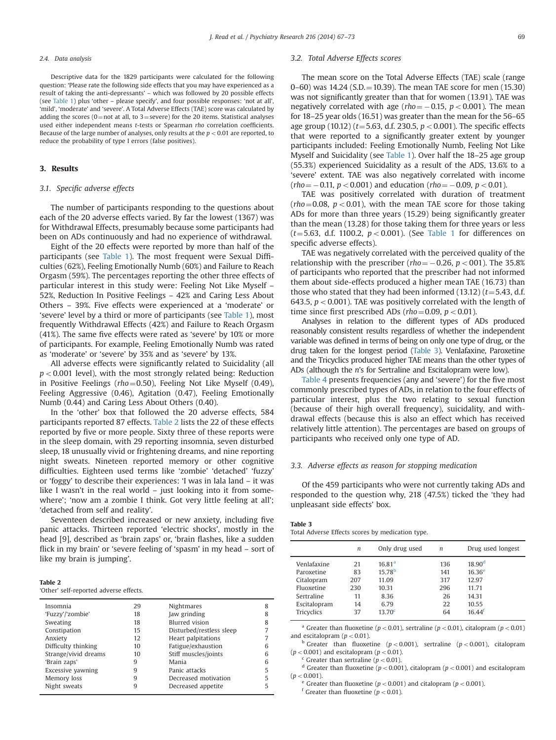# 2.4. Data analysis

Descriptive data for the 1829 participants were calculated for the following question: 'Please rate the following side effects that you may have experienced as a result of taking the anti-depressants' – which was followed by 20 possible effects (see Table 1) plus 'other – please specify', and four possible responses: 'not at all', 'mild', 'moderate' and 'severe'. A Total Adverse Effects (TAE) score was calculated by adding the scores ( $0=$ not at all, to 3=severe) for the 20 items. Statistical analyses used either independent means t-tests or Spearman rho correlation coefficients. Because of the large number of analyses, only results at the  $p < 0.01$  are reported, to reduce the probability of type I errors (false positives).

# 3. Results

# 3.1. Specific adverse effects

The number of participants responding to the questions about each of the 20 adverse effects varied. By far the lowest (1367) was for Withdrawal Effects, presumably because some participants had been on ADs continuously and had no experience of withdrawal.

Eight of the 20 effects were reported by more than half of the participants (see Table 1). The most frequent were Sexual Difficulties (62%), Feeling Emotionally Numb (60%) and Failure to Reach Orgasm (59%). The percentages reporting the other three effects of particular interest in this study were: Feeling Not Like Myself – 52%, Reduction In Positive Feelings – 42% and Caring Less About Others – 39%. Five effects were experienced at a 'moderate' or 'severe' level by a third or more of participants (see Table 1), most frequently Withdrawal Effects (42%) and Failure to Reach Orgasm (41%). The same five effects were rated as 'severe' by 10% or more of participants. For example, Feeling Emotionally Numb was rated as 'moderate' or 'severe' by 35% and as 'severe' by 13%.

All adverse effects were significantly related to Suicidality (all  $p < 0.001$  level), with the most strongly related being: Reduction in Positive Feelings ( $rho=0.50$ ), Feeling Not Like Myself (0.49), Feeling Aggressive (0.46), Agitation (0.47), Feeling Emotionally Numb (0.44) and Caring Less About Others (0.40).

In the 'other' box that followed the 20 adverse effects, 584 participants reported 87 effects. Table 2 lists the 22 of these effects reported by five or more people. Sixty three of these reports were in the sleep domain, with 29 reporting insomnia, seven disturbed sleep, 18 unusually vivid or frightening dreams, and nine reporting night sweats. Nineteen reported memory or other cognitive difficulties. Eighteen used terms like 'zombie' 'detached' 'fuzzy' or 'foggy' to describe their experiences: 'I was in lala land – it was like I wasn't in the real world – just looking into it from somewhere'; 'now am a zombie I think. Got very little feeling at all'; 'detached from self and reality'.

Seventeen described increased or new anxiety, including five panic attacks. Thirteen reported 'electric shocks', mostly in the head [9], described as 'brain zaps' or, 'brain flashes, like a sudden flick in my brain' or 'severe feeling of 'spasm' in my head – sort of like my brain is jumping'.

| $\sim$<br>. . |  |
|---------------|--|
|---------------|--|

|  | 'Other' self-reported adverse effects. |  |  |
|--|----------------------------------------|--|--|
|--|----------------------------------------|--|--|

| Insomnia             | 29 | Nightmares               | 8 |
|----------------------|----|--------------------------|---|
| 'Fuzzy'/'zombie'     | 18 | Jaw grinding             | 8 |
| Sweating             | 18 | <b>Blurred</b> vision    | 8 |
| Constipation         | 15 | Disturbed/restless sleep |   |
| Anxiety              | 12 | Heart palpitations       |   |
| Difficulty thinking  | 10 | Fatigue/exhaustion       | 6 |
| Strange/vivid dreams | 10 | Stiff muscles/joints     | 6 |
| 'Brain zaps'         | 9  | Mania                    | 6 |
| Excessive yawning    | 9  | Panic attacks            | 5 |
| Memory loss          | 9  | Decreased motivation     | 5 |
| Night sweats         | 9  | Decreased appetite       | 5 |
|                      |    |                          |   |

# 3.2. Total Adverse Effects scores

The mean score on the Total Adverse Effects (TAE) scale (range 0–60) was  $14.24$  (S.D. = 10.39). The mean TAE score for men (15.30) was not significantly greater than that for women (13.91). TAE was negatively correlated with age  $(rho = -0.15, p < 0.001)$ . The mean for 18–25 year olds (16.51) was greater than the mean for the 56–65 age group (10.12) ( $t=5.63$ , d.f. 230.5,  $p < 0.001$ ). The specific effects that were reported to a significantly greater extent by younger participants included: Feeling Emotionally Numb, Feeling Not Like Myself and Suicidality (see Table 1). Over half the 18–25 age group (55.3%) experienced Suicidality as a result of the ADS, 13.6% to a 'severe' extent. TAE was also negatively correlated with income  $(rho = -0.11, p < 0.001)$  and education  $(rho = -0.09, p < 0.01)$ .

TAE was positively correlated with duration of treatment  $(rho=0.08, p<0.01)$ , with the mean TAE score for those taking ADs for more than three years (15.29) being significantly greater than the mean (13.28) for those taking them for three years or less  $(t=5.63, d.f. 1100.2, p<0.001)$ . (See Table 1 for differences on specific adverse effects).

TAE was negatively correlated with the perceived quality of the relationship with the prescriber ( $rho = -0.26$ ,  $p < 001$ ). The 35.8% of participants who reported that the prescriber had not informed them about side-effects produced a higher mean TAE (16.73) than those who stated that they had been informed  $(13.12)$   $(t=5.43, d.f.)$ 643.5,  $p < 0.001$ ). TAE was positively correlated with the length of time since first prescribed ADs ( $rho=0.09$ ,  $p<0.01$ ).

Analyses in relation to the different types of ADs produced reasonably consistent results regardless of whether the independent variable was defined in terms of being on only one type of drug, or the drug taken for the longest period (Table 3). Venlafaxine, Paroxetine and the Tricyclics produced higher TAE means than the other types of ADs (although the n's for Sertraline and Escitalopram were low).

Table 4 presents frequencies (any and 'severe') for the five most commonly prescribed types of ADs, in relation to the four effects of particular interest, plus the two relating to sexual function (because of their high overall frequency), suicidality, and withdrawal effects (because this is also an effect which has received relatively little attention). The percentages are based on groups of participants who received only one type of AD.

# 3.3. Adverse effects as reason for stopping medication

Of the 459 participants who were not currently taking ADs and responded to the question why, 218 (47.5%) ticked the 'they had unpleasant side effects' box.

# Table 3

Total Adverse Effects scores by medication type.

|              | n   | Only drug used     | n   | Drug used longest  |
|--------------|-----|--------------------|-----|--------------------|
| Venlafaxine  | 21  | 16.81 <sup>a</sup> | 136 | 18.90 <sup>d</sup> |
| Paroxetine   | 83  | 15.78 <sup>b</sup> | 141 | 16.36 <sup>e</sup> |
| Citalopram   | 207 | 11.09              | 317 | 12.97              |
| Fluoxetine   | 230 | 10.31              | 296 | 11.71              |
| Sertraline   | 11  | 8.36               | 26  | 14.31              |
| Escitalopram | 14  | 6.79               | 22  | 10.55              |
| Tricyclics   | 37  | 13.70 <sup>c</sup> | 64  | $16.44^{f}$        |

<sup>a</sup> Greater than fluoxetine ( $p < 0.01$ ), sertraline ( $p < 0.01$ ), citalopram ( $p < 0.01$ ) and escitalopram ( $p < 0.01$ ).

 $b$  Greater than fluoxetine (p < 0.001), sertraline (p < 0.001), citalopram  $(p < 0.001)$  and escitalopram  $(p < 0.01)$ .

 $\epsilon$  Greater than sertraline ( $p < 0.01$ ).

d Greater than fluoxetine  $(p < 0.001)$ , citalopram  $(p < 0.001)$  and escitalopram  $(p < 0.001)$ .

Greater than fluoxetine ( $p < 0.001$ ) and citalopram ( $p < 0.001$ ).

 $f$  Greater than fluoxetine ( $p < 0.01$ ).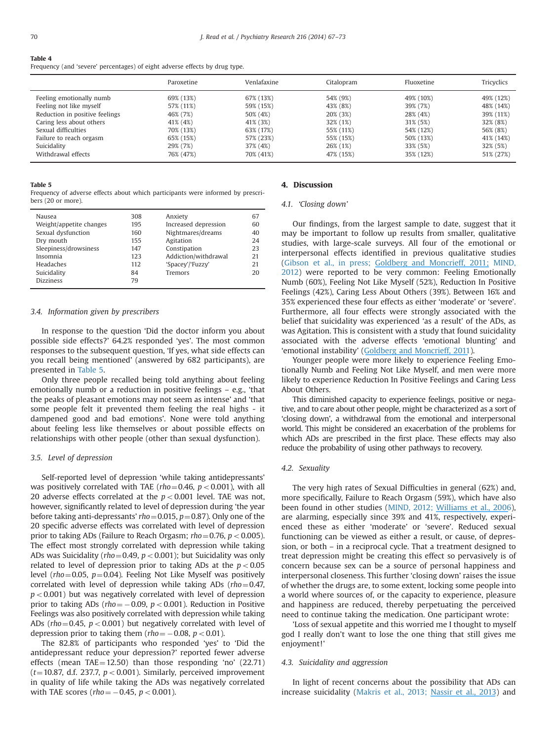#### Table 4

Frequency (and 'severe' percentages) of eight adverse effects by drug type.

|                                | Paroxetine | Venlafaxine | Citalopram | Fluoxetine | Tricyclics |
|--------------------------------|------------|-------------|------------|------------|------------|
| Feeling emotionally numb       | 69% (13%)  | 67% (13%)   | 54% (9%)   | 49% (10%)  | 49% (12%)  |
| Feeling not like myself        | 57% (11%)  | 59% (15%)   | 43% (8%)   | 39% (7%)   | 48% (14%)  |
| Reduction in positive feelings | 46% (7%)   | 50% (4%)    | 20% (3%)   | 28% (4%)   | 39% (11%)  |
| Caring less about others       | 41% (4%)   | 41% (3%)    | 32% (1%)   | 31% (5%)   | 32% (8%)   |
| Sexual difficulties            | 70% (13%)  | 63% (17%)   | 55% (11%)  | 54% (12%)  | 56% (8%)   |
| Failure to reach orgasm        | 65% (15%)  | 57% (23%)   | 55% (15%)  | 50% (13%)  | 41% (14%)  |
| Suicidality                    | 29% (7%)   | 37% (4%)    | 26% (1%)   | 33% (5%)   | 32% (5%)   |
| Withdrawal effects             | 76% (47%)  | 70% (41%)   | 47% (15%)  | 35% (12%)  | 51% (27%)  |

#### Table 5

Frequency of adverse effects about which participants were informed by prescribers (20 or more).

| Nausea<br>Weight/appetite changes<br>Sexual dysfunction<br>Dry mouth<br>Sleepiness/drowsiness | 308<br>195<br>160<br>155<br>147 | Anxiety<br>Increased depression<br>Nightmares/dreams<br>Agitation<br>Constipation | 67<br>60<br>40<br>24<br>23 |
|-----------------------------------------------------------------------------------------------|---------------------------------|-----------------------------------------------------------------------------------|----------------------------|
|                                                                                               |                                 |                                                                                   |                            |
|                                                                                               |                                 |                                                                                   |                            |
| Insomnia                                                                                      | 123                             | Addiction/withdrawal                                                              | 21                         |
| Headaches                                                                                     | 112                             | 'Spacey'/'Fuzzy'                                                                  | 21                         |
| Suicidality                                                                                   | 84                              | Tremors                                                                           | 20                         |
| <b>Dizziness</b>                                                                              | 79                              |                                                                                   |                            |

## 3.4. Information given by prescribers

In response to the question 'Did the doctor inform you about possible side effects?' 64.2% responded 'yes'. The most common responses to the subsequent question, 'If yes, what side effects can you recall being mentioned' (answered by 682 participants), are presented in Table 5.

Only three people recalled being told anything about feeling emotionally numb or a reduction in positive feelings – e.g., 'that the peaks of pleasant emotions may not seem as intense' and 'that some people felt it prevented them feeling the real highs - it dampened good and bad emotions'. None were told anything about feeling less like themselves or about possible effects on relationships with other people (other than sexual dysfunction).

# 3.5. Level of depression

Self-reported level of depression 'while taking antidepressants' was positively correlated with TAE ( $rho$ =0.46,  $p$  < 0.001), with all 20 adverse effects correlated at the  $p < 0.001$  level. TAE was not, however, significantly related to level of depression during 'the year before taking anti-depressants'  $rho=0.015$ ,  $p=0.87$ ). Only one of the 20 specific adverse effects was correlated with level of depression prior to taking ADs (Failure to Reach Orgasm;  $rho=0.76$ ,  $p<0.005$ ). The effect most strongly correlated with depression while taking ADs was Suicidality (rho=0.49,  $p < 0.001$ ); but Suicidality was only related to level of depression prior to taking ADs at the  $p < 0.05$ level (rho=0.05,  $p=0.04$ ). Feeling Not Like Myself was positively correlated with level of depression while taking ADs ( $rho=0.47$ ,  $p < 0.001$ ) but was negatively correlated with level of depression prior to taking ADs ( $rho = -0.09$ ,  $p < 0.001$ ). Reduction in Positive Feelings was also positively correlated with depression while taking ADs ( $rho=0.45$ ,  $p<0.001$ ) but negatively correlated with level of depression prior to taking them  $(rho = -0.08, p < 0.01)$ .

The 82.8% of participants who responded 'yes' to 'Did the antidepressant reduce your depression?' reported fewer adverse effects (mean TAE $=$ 12.50) than those responding 'no' (22.71) ( $t$ =10.87, d.f. 237.7,  $p$  < 0.001). Similarly, perceived improvement in quality of life while taking the ADs was negatively correlated with TAE scores ( $rho = -0.45$ ,  $p < 0.001$ ).

# 4. Discussion

## 4.1. 'Closing down'

Our findings, from the largest sample to date, suggest that it may be important to follow up results from smaller, qualitative studies, with large-scale surveys. All four of the emotional or interpersonal effects identified in previous qualitative studies (Gibson et al., in press; [Goldberg and Moncrieff, 2011;](https://www.researchgate.net/publication/233548232_The_Psychoactive_Effects_of_Antidepressants_and_their_Association_with_Suicidality?el=1_x_8&enrichId=rgreq-f0186ac4cfb48266549aa2490c1b877f-XXX&enrichSource=Y292ZXJQYWdlOzI2MDAyOTk4MztBUzoxMjA5NTg3NDg3MjkzNDRAMTQwNTg1MDIyMjAwMQ==) MIND, 2012) were reported to be very common: Feeling Emotionally Numb (60%), Feeling Not Like Myself (52%), Reduction In Positive Feelings (42%), Caring Less About Others (39%). Between 16% and 35% experienced these four effects as either 'moderate' or 'severe'. Furthermore, all four effects were strongly associated with the belief that suicidality was experienced 'as a result' of the ADs, as was Agitation. This is consistent with a study that found suicidality associated with the adverse effects 'emotional blunting' and 'emotional instability' ([Goldberg and Moncrieff, 2011](https://www.researchgate.net/publication/233548232_The_Psychoactive_Effects_of_Antidepressants_and_their_Association_with_Suicidality?el=1_x_8&enrichId=rgreq-f0186ac4cfb48266549aa2490c1b877f-XXX&enrichSource=Y292ZXJQYWdlOzI2MDAyOTk4MztBUzoxMjA5NTg3NDg3MjkzNDRAMTQwNTg1MDIyMjAwMQ==)).

Younger people were more likely to experience Feeling Emotionally Numb and Feeling Not Like Myself, and men were more likely to experience Reduction In Positive Feelings and Caring Less About Others.

This diminished capacity to experience feelings, positive or negative, and to care about other people, might be characterized as a sort of 'closing down', a withdrawal from the emotional and interpersonal world. This might be considered an exacerbation of the problems for which ADs are prescribed in the first place. These effects may also reduce the probability of using other pathways to recovery.

## 4.2. Sexuality

The very high rates of Sexual Difficulties in general (62%) and, more specifically, Failure to Reach Orgasm (59%), which have also been found in other studies (MIND, 2012; [Williams et al., 2006](https://www.researchgate.net/publication/298995725_Estimating_the_prevalence_and_impact_of_antidepressant-induced_sexual_dysfunction_in_2_European_countries_A_cross-sectional_patient_survey?el=1_x_8&enrichId=rgreq-f0186ac4cfb48266549aa2490c1b877f-XXX&enrichSource=Y292ZXJQYWdlOzI2MDAyOTk4MztBUzoxMjA5NTg3NDg3MjkzNDRAMTQwNTg1MDIyMjAwMQ==)), are alarming, especially since 39% and 41%, respectively, experienced these as either 'moderate' or 'severe'. Reduced sexual functioning can be viewed as either a result, or cause, of depression, or both – in a reciprocal cycle. That a treatment designed to treat depression might be creating this effect so pervasively is of concern because sex can be a source of personal happiness and interpersonal closeness. This further 'closing down' raises the issue of whether the drugs are, to some extent, locking some people into a world where sources of, or the capacity to experience, pleasure and happiness are reduced, thereby perpetuating the perceived need to continue taking the medication. One participant wrote:

'Loss of sexual appetite and this worried me I thought to myself god I really don't want to lose the one thing that still gives me enjoyment!'

### 4.3. Suicidality and aggression

In light of recent concerns about the possibility that ADs can increase suicidality (Makris et al., 2013; [Nassir et al., 2013](https://www.researchgate.net/publication/234097487_Antidepressants_from_a_public_health_perspective_Re-examining_effectiveness_suicide_and_carcinogenicity?el=1_x_8&enrichId=rgreq-f0186ac4cfb48266549aa2490c1b877f-XXX&enrichSource=Y292ZXJQYWdlOzI2MDAyOTk4MztBUzoxMjA5NTg3NDg3MjkzNDRAMTQwNTg1MDIyMjAwMQ==)) and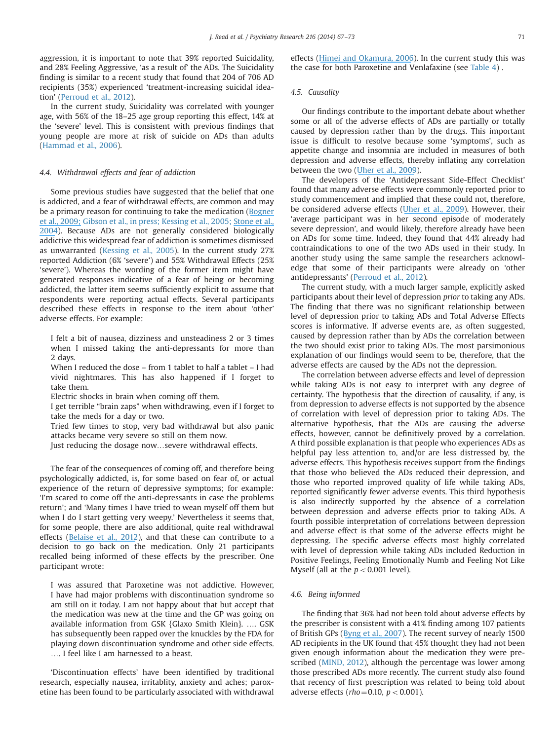aggression, it is important to note that 39% reported Suicidality, and 28% Feeling Aggressive, 'as a result of' the ADs. The Suicidality finding is similar to a recent study that found that 204 of 706 AD recipients (35%) experienced 'treatment-increasing suicidal ideation' (Perroud et al., 2012).

In the current study, Suicidality was correlated with younger age, with 56% of the 18–25 age group reporting this effect, 14% at the 'severe' level. This is consistent with previous findings that young people are more at risk of suicide on ADs than adults (Hammad et al., 2006).

# 4.4. Withdrawal effects and fear of addiction

Some previous studies have suggested that the belief that one is addicted, and a fear of withdrawal effects, are common and may be a primary reason for continuing to take the medication ([Bogner](https://www.researchgate.net/publication/26753890_Older_primary_care_patient_views_regarding_antidepressants_A_mixed_methods_approach?el=1_x_8&enrichId=rgreq-f0186ac4cfb48266549aa2490c1b877f-XXX&enrichSource=Y292ZXJQYWdlOzI2MDAyOTk4MztBUzoxMjA5NTg3NDg3MjkzNDRAMTQwNTg1MDIyMjAwMQ==) [et al., 2009;](https://www.researchgate.net/publication/26753890_Older_primary_care_patient_views_regarding_antidepressants_A_mixed_methods_approach?el=1_x_8&enrichId=rgreq-f0186ac4cfb48266549aa2490c1b877f-XXX&enrichSource=Y292ZXJQYWdlOzI2MDAyOTk4MztBUzoxMjA5NTg3NDg3MjkzNDRAMTQwNTg1MDIyMjAwMQ==) Gibson et al., in press; Kessing et al., 2005; [Stone et al.,](https://www.researchgate.net/publication/8653820_What_do_medical_outpatients_attending_a_neurology_clinic_think_about_antidepressants?el=1_x_8&enrichId=rgreq-f0186ac4cfb48266549aa2490c1b877f-XXX&enrichSource=Y292ZXJQYWdlOzI2MDAyOTk4MztBUzoxMjA5NTg3NDg3MjkzNDRAMTQwNTg1MDIyMjAwMQ==) [2004](https://www.researchgate.net/publication/8653820_What_do_medical_outpatients_attending_a_neurology_clinic_think_about_antidepressants?el=1_x_8&enrichId=rgreq-f0186ac4cfb48266549aa2490c1b877f-XXX&enrichSource=Y292ZXJQYWdlOzI2MDAyOTk4MztBUzoxMjA5NTg3NDg3MjkzNDRAMTQwNTg1MDIyMjAwMQ==)). Because ADs are not generally considered biologically addictive this widespread fear of addiction is sometimes dismissed as unwarranted (Kessing et al., 2005). In the current study 27% reported Addiction (6% 'severe') and 55% Withdrawal Effects (25% 'severe'). Whereas the wording of the former item might have generated responses indicative of a fear of being or becoming addicted, the latter item seems sufficiently explicit to assume that respondents were reporting actual effects. Several participants described these effects in response to the item about 'other' adverse effects. For example:

I felt a bit of nausea, dizziness and unsteadiness 2 or 3 times when I missed taking the anti-depressants for more than 2 days.

When I reduced the dose – from 1 tablet to half a tablet – I had vivid nightmares. This has also happened if I forget to take them.

Electric shocks in brain when coming off them.

I get terrible "brain zaps" when withdrawing, even if I forget to take the meds for a day or two.

Tried few times to stop, very bad withdrawal but also panic attacks became very severe so still on them now.

Just reducing the dosage now…severe withdrawal effects.

The fear of the consequences of coming off, and therefore being psychologically addicted, is, for some based on fear of, or actual experience of the return of depressive symptoms; for example: 'I'm scared to come off the anti-depressants in case the problems return'; and 'Many times I have tried to wean myself off them but when I do I start getting very weepy.' Nevertheless it seems that, for some people, there are also additional, quite real withdrawal effects ([Belaise et al., 2012](https://www.researchgate.net/publication/230829434_Patient_Online_Report_of_Selective_Serotonin_Reuptake_Inhibitor-Induced_Persistent_Postwithdrawal_Anxiety_and_Mood_Disorders?el=1_x_8&enrichId=rgreq-f0186ac4cfb48266549aa2490c1b877f-XXX&enrichSource=Y292ZXJQYWdlOzI2MDAyOTk4MztBUzoxMjA5NTg3NDg3MjkzNDRAMTQwNTg1MDIyMjAwMQ==)), and that these can contribute to a decision to go back on the medication. Only 21 participants recalled being informed of these effects by the prescriber. One participant wrote:

I was assured that Paroxetine was not addictive. However, I have had major problems with discontinuation syndrome so am still on it today. I am not happy about that but accept that the medication was new at the time and the GP was going on available information from GSK {Glaxo Smith Klein}. …. GSK has subsequently been rapped over the knuckles by the FDA for playing down discontinuation syndrome and other side effects. …. I feel like I am harnessed to a beast.

'Discontinuation effects' have been identified by traditional research, especially nausea, irritablity, anxiety and aches; paroxetine has been found to be particularly associated with withdrawal effects ([Himei and Okamura, 2006](https://www.researchgate.net/publication/6923386_Discontinuation_syndrome_associated_with_paroxetine_in_depressed_patients_a_retrospective_analysis_of_factors_involved_in_the_occurrence_of_the_syndrome?el=1_x_8&enrichId=rgreq-f0186ac4cfb48266549aa2490c1b877f-XXX&enrichSource=Y292ZXJQYWdlOzI2MDAyOTk4MztBUzoxMjA5NTg3NDg3MjkzNDRAMTQwNTg1MDIyMjAwMQ==)). In the current study this was the case for both Paroxetine and Venlafaxine (see Table 4) .

# 4.5. Causality

Our findings contribute to the important debate about whether some or all of the adverse effects of ADs are partially or totally caused by depression rather than by the drugs. This important issue is difficult to resolve because some 'symptoms', such as appetite change and insomnia are included in measures of both depression and adverse effects, thereby inflating any correlation between the two ([Uher et al., 2009](https://www.researchgate.net/publication/26780748_Adverse_reactions_to_antidepressants?el=1_x_8&enrichId=rgreq-f0186ac4cfb48266549aa2490c1b877f-XXX&enrichSource=Y292ZXJQYWdlOzI2MDAyOTk4MztBUzoxMjA5NTg3NDg3MjkzNDRAMTQwNTg1MDIyMjAwMQ==)).

The developers of the 'Antidepressant Side-Effect Checklist' found that many adverse effects were commonly reported prior to study commencement and implied that these could not, therefore, be considered adverse effects ([Uher et al., 2009](https://www.researchgate.net/publication/26780748_Adverse_reactions_to_antidepressants?el=1_x_8&enrichId=rgreq-f0186ac4cfb48266549aa2490c1b877f-XXX&enrichSource=Y292ZXJQYWdlOzI2MDAyOTk4MztBUzoxMjA5NTg3NDg3MjkzNDRAMTQwNTg1MDIyMjAwMQ==)). However, their 'average participant was in her second episode of moderately severe depression', and would likely, therefore already have been on ADs for some time. Indeed, they found that 44% already had contraindications to one of the two ADs used in their study. In another study using the same sample the researchers acknowledge that some of their participants were already on 'other antidepressants' (Perroud et al., 2012).

The current study, with a much larger sample, explicitly asked participants about their level of depression prior to taking any ADs. The finding that there was no significant relationship between level of depression prior to taking ADs and Total Adverse Effects scores is informative. If adverse events are, as often suggested, caused by depression rather than by ADs the correlation between the two should exist prior to taking ADs. The most parsimonious explanation of our findings would seem to be, therefore, that the adverse effects are caused by the ADs not the depression.

The correlation between adverse effects and level of depression while taking ADs is not easy to interpret with any degree of certainty. The hypothesis that the direction of causality, if any, is from depression to adverse effects is not supported by the absence of correlation with level of depression prior to taking ADs. The alternative hypothesis, that the ADs are causing the adverse effects, however, cannot be definitively proved by a correlation. A third possible explanation is that people who experiences ADs as helpful pay less attention to, and/or are less distressed by, the adverse effects. This hypothesis receives support from the findings that those who believed the ADs reduced their depression, and those who reported improved quality of life while taking ADs, reported significantly fewer adverse events. This third hypothesis is also indirectly supported by the absence of a correlation between depression and adverse effects prior to taking ADs. A fourth possible interpretation of correlations between depression and adverse effect is that some of the adverse effects might be depressing. The specific adverse effects most highly correlated with level of depression while taking ADs included Reduction in Positive Feelings, Feeling Emotionally Numb and Feeling Not Like Myself (all at the  $p < 0.001$  level).

## 4.6. Being informed

The finding that 36% had not been told about adverse effects by the prescriber is consistent with a 41% finding among 107 patients of British GPs ([Byng et al., 2007](https://www.researchgate.net/publication/278068457_Patients)). The recent survey of nearly 1500 AD recipients in the UK found that 45% thought they had not been given enough information about the medication they were prescribed (MIND, 2012), although the percentage was lower among those prescribed ADs more recently. The current study also found that recency of first prescription was related to being told about adverse effects ( $rho=0.10$ ,  $p < 0.001$ ).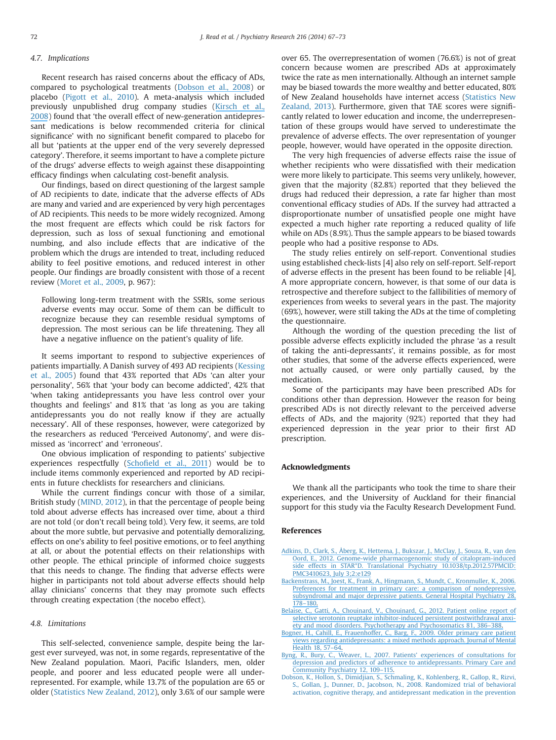# 4.7. Implications

Recent research has raised concerns about the efficacy of ADs, compared to psychological treatments ([Dobson et al., 2008](https://www.researchgate.net/publication/5316182_Randomized_Trial_of_Behavioral_Activation_Cognitive_Therapy_and_Antidepressant_Medication_in_the_Prevention_of_Relapse_and_Recurrence_in_Major_Depression?el=1_x_8&enrichId=rgreq-f0186ac4cfb48266549aa2490c1b877f-XXX&enrichSource=Y292ZXJQYWdlOzI2MDAyOTk4MztBUzoxMjA5NTg3NDg3MjkzNDRAMTQwNTg1MDIyMjAwMQ==)) or placebo (Pigott et al., 2010). A meta-analysis which included previously unpublished drug company studies ([Kirsch et al.,](https://www.researchgate.net/publication/284143789_Initial_Severity_and_Antidepressant_Benefits_A_Meta-Analysis_of_Data_Submitted_to_the_Food_and_Drug_Administration?el=1_x_8&enrichId=rgreq-f0186ac4cfb48266549aa2490c1b877f-XXX&enrichSource=Y292ZXJQYWdlOzI2MDAyOTk4MztBUzoxMjA5NTg3NDg3MjkzNDRAMTQwNTg1MDIyMjAwMQ==) [2008](https://www.researchgate.net/publication/284143789_Initial_Severity_and_Antidepressant_Benefits_A_Meta-Analysis_of_Data_Submitted_to_the_Food_and_Drug_Administration?el=1_x_8&enrichId=rgreq-f0186ac4cfb48266549aa2490c1b877f-XXX&enrichSource=Y292ZXJQYWdlOzI2MDAyOTk4MztBUzoxMjA5NTg3NDg3MjkzNDRAMTQwNTg1MDIyMjAwMQ==)) found that 'the overall effect of new-generation antidepressant medications is below recommended criteria for clinical significance' with no significant benefit compared to placebo for all but 'patients at the upper end of the very severely depressed category'. Therefore, it seems important to have a complete picture of the drugs' adverse effects to weigh against these disappointing efficacy findings when calculating cost-benefit analysis.

Our findings, based on direct questioning of the largest sample of AD recipients to date, indicate that the adverse effects of ADs are many and varied and are experienced by very high percentages of AD recipients. This needs to be more widely recognized. Among the most frequent are effects which could be risk factors for depression, such as loss of sexual functioning and emotional numbing, and also include effects that are indicative of the problem which the drugs are intended to treat, including reduced ability to feel positive emotions, and reduced interest in other people. Our findings are broadly consistent with those of a recent review (Moret et al., 2009, p. 967):

Following long-term treatment with the SSRIs, some serious adverse events may occur. Some of them can be difficult to recognize because they can resemble residual symptoms of depression. The most serious can be life threatening. They all have a negative influence on the patient's quality of life.

It seems important to respond to subjective experiences of patients impartially. A Danish survey of 493 AD recipients (Kessing et al., 2005) found that 43% reported that ADs 'can alter your personality', 56% that 'your body can become addicted', 42% that 'when taking antidepressants you have less control over your thoughts and feelings' and 81% that 'as long as you are taking antidepressants you do not really know if they are actually necessary'. All of these responses, however, were categorized by the researchers as reduced 'Perceived Autonomy', and were dismissed as 'incorrect' and 'erroneous'.

One obvious implication of responding to patients' subjective experiences respectfully (Schofi[eld et al., 2011](https://www.researchgate.net/publication/50865665_Patients)) would be to include items commonly experienced and reported by AD recipients in future checklists for researchers and clinicians.

While the current findings concur with those of a similar, British study (MIND, 2012), in that the percentage of people being told about adverse effects has increased over time, about a third are not told (or don't recall being told). Very few, it seems, are told about the more subtle, but pervasive and potentially demoralizing, effects on one's ability to feel positive emotions, or to feel anything at all, or about the potential effects on their relationships with other people. The ethical principle of informed choice suggests that this needs to change. The finding that adverse effects were higher in participants not told about adverse effects should help allay clinicians' concerns that they may promote such effects through creating expectation (the nocebo effect).

# 4.8. Limitations

This self-selected, convenience sample, despite being the largest ever surveyed, was not, in some regards, representative of the New Zealand population. Maori, Pacific Islanders, men, older people, and poorer and less educated people were all underrepresented. For example, while 13.7% of the population are 65 or older (Statistics New Zealand, 2012), only 3.6% of our sample were over 65. The overrepresentation of women (76.6%) is not of great concern because women are prescribed ADs at approximately twice the rate as men internationally. Although an internet sample may be biased towards the more wealthy and better educated, 80% of New Zealand households have internet access (Statistics New Zealand, 2013). Furthermore, given that TAE scores were significantly related to lower education and income, the underrepresentation of these groups would have served to underestimate the prevalence of adverse effects. The over representation of younger people, however, would have operated in the opposite direction.

The very high frequencies of adverse effects raise the issue of whether recipients who were dissatisfied with their medication were more likely to participate. This seems very unlikely, however, given that the majority (82.8%) reported that they believed the drugs had reduced their depression, a rate far higher than most conventional efficacy studies of ADs. If the survey had attracted a disproportionate number of unsatisfied people one might have expected a much higher rate reporting a reduced quality of life while on ADs (8.9%). Thus the sample appears to be biased towards people who had a positive response to ADs.

The study relies entirely on self-report. Conventional studies using established check-lists [4] also rely on self-report. Self-report of adverse effects in the present has been found to be reliable [4], A more appropriate concern, however, is that some of our data is retrospective and therefore subject to the fallibilities of memory of experiences from weeks to several years in the past. The majority (69%), however, were still taking the ADs at the time of completing the questionnaire.

Although the wording of the question preceding the list of possible adverse effects explicitly included the phrase 'as a result of taking the anti-depressants', it remains possible, as for most other studies, that some of the adverse effects experienced, were not actually caused, or were only partially caused, by the medication.

Some of the participants may have been prescribed ADs for conditions other than depression. However the reason for being prescribed ADs is not directly relevant to the perceived adverse effects of ADs, and the majority (92%) reported that they had experienced depression in the year prior to their first AD prescription.

## Acknowledgments

We thank all the participants who took the time to share their experiences, and the University of Auckland for their financial support for this study via the Faculty Research Development Fund.

## References

- [Adkins, D., Clark, S., Åberg, K., Hettema, J., Bukszar, J., McClay, J., Souza, R., van den](http://refhub.elsevier.com/S0165-1781(14)00083-3/sbref1) [Oord, E., 2012. Genome-wide pharmacogenomic study of citalopram-induced](http://refhub.elsevier.com/S0165-1781(14)00083-3/sbref1) [side effects in STAR\\*D. Translational Psychiatry 10.1038/tp.2012.57PMCID:](http://refhub.elsevier.com/S0165-1781(14)00083-3/sbref1) [PMC3410623, July 3;2:e129](http://refhub.elsevier.com/S0165-1781(14)00083-3/sbref1)
- [Backenstrass, M., Joest, K., Frank, A., Hingmann, S., Mundt, C., Kronmuller, K., 2006.](http://refhub.elsevier.com/S0165-1781(14)00083-3/sbref2) [Preferences for treatment in primary care: a comparison of nondepressive,](http://refhub.elsevier.com/S0165-1781(14)00083-3/sbref2) [subsyndromal and major depressive patients. General Hospital Psychiatry 28,](http://refhub.elsevier.com/S0165-1781(14)00083-3/sbref2) 178–[180.](http://refhub.elsevier.com/S0165-1781(14)00083-3/sbref2)
- [Belaise, C., Gatti, A., Chouinard, V., Chouinard, G., 2012. Patient online report of](http://refhub.elsevier.com/S0165-1781(14)00083-3/sbref3) [selective serotonin reuptake inhibitor-induced persistent postwithdrawal anxi](http://refhub.elsevier.com/S0165-1781(14)00083-3/sbref3)[ety and mood disorders. Psychotherapy and Psychosomatics 81, 386](http://refhub.elsevier.com/S0165-1781(14)00083-3/sbref3)–388.
- [Bogner, H., Cahill, E., Frauenhoffer, C., Barg, F., 2009. Older primary care patient](http://refhub.elsevier.com/S0165-1781(14)00083-3/sbref4) [views regarding antidepressants: a mixed methods approach. Journal of Mental](http://refhub.elsevier.com/S0165-1781(14)00083-3/sbref4) [Health 18, 57](http://refhub.elsevier.com/S0165-1781(14)00083-3/sbref4)–64.
- [Byng,](https://www.researchgate.net/publication/278068457_Patients)[R.,](https://www.researchgate.net/publication/278068457_Patients)[Bury,](https://www.researchgate.net/publication/278068457_Patients)[C.,](https://www.researchgate.net/publication/278068457_Patients)[Weaver,](https://www.researchgate.net/publication/278068457_Patients)[L.,](https://www.researchgate.net/publication/278068457_Patients)[2007.](https://www.researchgate.net/publication/278068457_Patients)[Patients](https://www.researchgate.net/publication/278068457_Patients)' experiences of consultations for [depression](https://www.researchgate.net/publication/278068457_Patients)[and](https://www.researchgate.net/publication/278068457_Patients)[predictors](https://www.researchgate.net/publication/278068457_Patients)[of](https://www.researchgate.net/publication/278068457_Patients)[adherence](https://www.researchgate.net/publication/278068457_Patients)[to](https://www.researchgate.net/publication/278068457_Patients)[antidepressants.](https://www.researchgate.net/publication/278068457_Patients)[Primary](https://www.researchgate.net/publication/278068457_Patients)[Care](https://www.researchgate.net/publication/278068457_Patients)[and](https://www.researchgate.net/publication/278068457_Patients) [Community](https://www.researchgate.net/publication/278068457_Patients)[Psychiatry](https://www.researchgate.net/publication/278068457_Patients)[12,](https://www.researchgate.net/publication/278068457_Patients)[109](https://www.researchgate.net/publication/278068457_Patients)–115.
- [Dobson, K., Hollon, S., Dimidjian, S., Schmaling, K., Kohlenberg, R., Gallop, R., Rizvi,](http://refhub.elsevier.com/S0165-1781(14)00083-3/sbref6) [S., Gollan, J., Dunner, D., Jacobson, N., 2008. Randomized trial of behavioral](http://refhub.elsevier.com/S0165-1781(14)00083-3/sbref6) [activation, cognitive therapy, and antidepressant medication in the prevention](http://refhub.elsevier.com/S0165-1781(14)00083-3/sbref6)